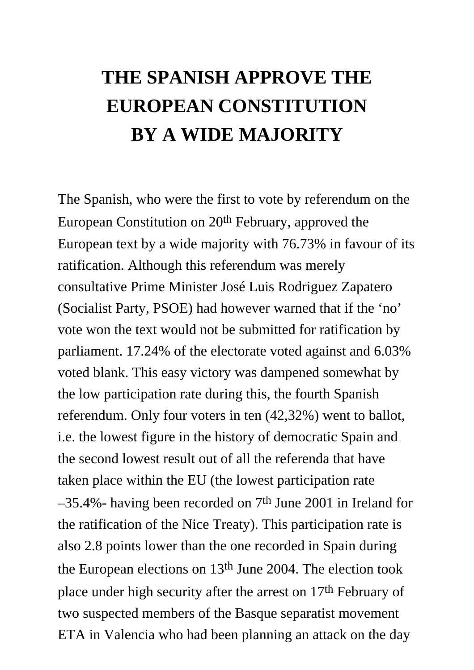## **THE SPANISH APPROVE THE EUROPEAN CONSTITUTION BY A WIDE MAJORITY**

The Spanish, who were the first to vote by referendum on the European Constitution on 20th February, approved the European text by a wide majority with 76.73% in favour of its ratification. Although this referendum was merely consultative Prime Minister José Luis Rodriguez Zapatero (Socialist Party, PSOE) had however warned that if the 'no' vote won the text would not be submitted for ratification by parliament. 17.24% of the electorate voted against and 6.03% voted blank. This easy victory was dampened somewhat by the low participation rate during this, the fourth Spanish referendum. Only four voters in ten (42,32%) went to ballot, i.e. the lowest figure in the history of democratic Spain and the second lowest result out of all the referenda that have taken place within the EU (the lowest participation rate –35.4%- having been recorded on 7th June 2001 in Ireland for the ratification of the Nice Treaty). This participation rate is also 2.8 points lower than the one recorded in Spain during the European elections on 13th June 2004. The election took place under high security after the arrest on 17th February of two suspected members of the Basque separatist movement ETA in Valencia who had been planning an attack on the day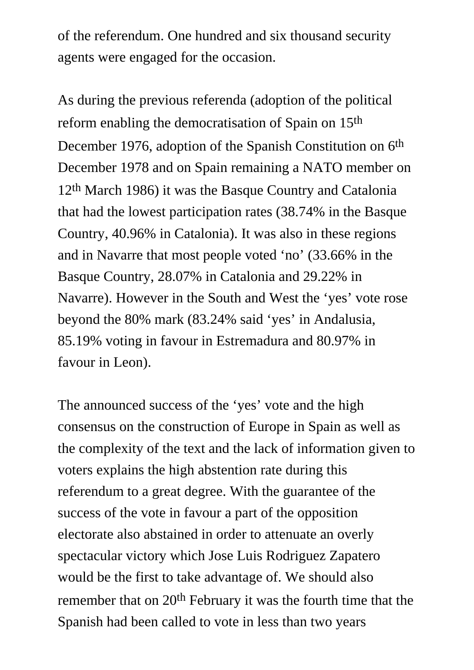of the referendum. One hundred and six thousand security agents were engaged for the occasion.

As during the previous referenda (adoption of the political reform enabling the democratisation of Spain on 15th December 1976, adoption of the Spanish Constitution on 6<sup>th</sup> December 1978 and on Spain remaining a NATO member on 12th March 1986) it was the Basque Country and Catalonia that had the lowest participation rates (38.74% in the Basque Country, 40.96% in Catalonia). It was also in these regions and in Navarre that most people voted 'no' (33.66% in the Basque Country, 28.07% in Catalonia and 29.22% in Navarre). However in the South and West the 'yes' vote rose beyond the 80% mark (83.24% said 'yes' in Andalusia, 85.19% voting in favour in Estremadura and 80.97% in favour in Leon).

The announced success of the 'yes' vote and the high consensus on the construction of Europe in Spain as well as the complexity of the text and the lack of information given to voters explains the high abstention rate during this referendum to a great degree. With the guarantee of the success of the vote in favour a part of the opposition electorate also abstained in order to attenuate an overly spectacular victory which Jose Luis Rodriguez Zapatero would be the first to take advantage of. We should also remember that on 20<sup>th</sup> February it was the fourth time that the Spanish had been called to vote in less than two years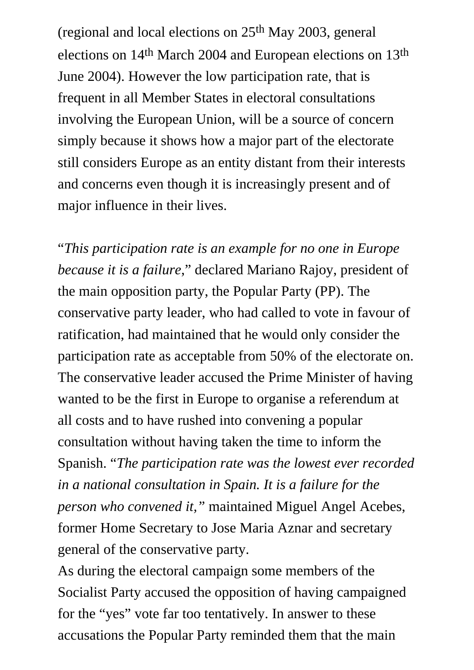(regional and local elections on 25th May 2003, general elections on 14th March 2004 and European elections on 13th June 2004). However the low participation rate, that is frequent in all Member States in electoral consultations involving the European Union, will be a source of concern simply because it shows how a major part of the electorate still considers Europe as an entity distant from their interests and concerns even though it is increasingly present and of major influence in their lives.

"*This participation rate is an example for no one in Europe because it is a failure*," declared Mariano Rajoy, president of the main opposition party, the Popular Party (PP). The conservative party leader, who had called to vote in favour of ratification, had maintained that he would only consider the participation rate as acceptable from 50% of the electorate on. The conservative leader accused the Prime Minister of having wanted to be the first in Europe to organise a referendum at all costs and to have rushed into convening a popular consultation without having taken the time to inform the Spanish. "*The participation rate was the lowest ever recorded in a national consultation in Spain. It is a failure for the person who convened it,"* maintained Miguel Angel Acebes, former Home Secretary to Jose Maria Aznar and secretary general of the conservative party.

As during the electoral campaign some members of the Socialist Party accused the opposition of having campaigned for the "yes" vote far too tentatively. In answer to these accusations the Popular Party reminded them that the main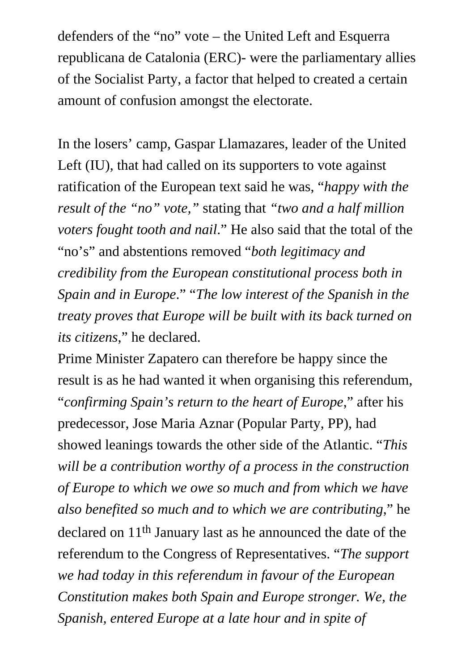defenders of the "no" vote – the United Left and Esquerra republicana de Catalonia (ERC)- were the parliamentary allies of the Socialist Party, a factor that helped to created a certain amount of confusion amongst the electorate.

In the losers' camp, Gaspar Llamazares, leader of the United Left (IU), that had called on its supporters to vote against ratification of the European text said he was, "*happy with the result of the "no" vote,"* stating that *"two and a half million voters fought tooth and nail*." He also said that the total of the "no's" and abstentions removed "*both legitimacy and credibility from the European constitutional process both in Spain and in Europe*." "*The low interest of the Spanish in the treaty proves that Europe will be built with its back turned on its citizens*," he declared.

Prime Minister Zapatero can therefore be happy since the result is as he had wanted it when organising this referendum, "*confirming Spain's return to the heart of Europe*," after his predecessor, Jose Maria Aznar (Popular Party, PP), had showed leanings towards the other side of the Atlantic. "*This will be a contribution worthy of a process in the construction of Europe to which we owe so much and from which we have also benefited so much and to which we are contributing*," he declared on 11th January last as he announced the date of the referendum to the Congress of Representatives. "*The support we had today in this referendum in favour of the European Constitution makes both Spain and Europe stronger. We, the Spanish, entered Europe at a late hour and in spite of*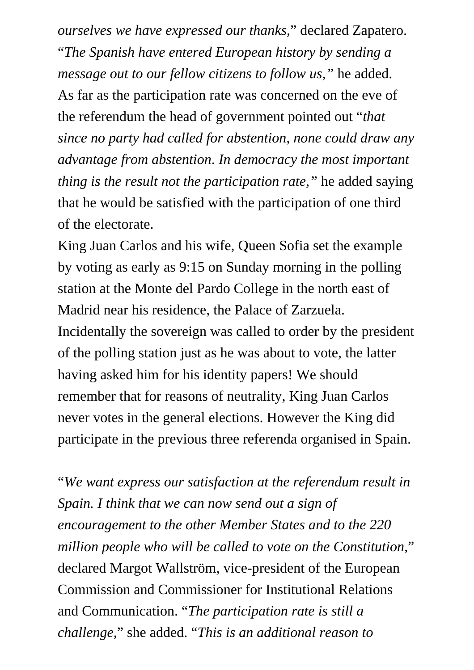*ourselves we have expressed our thanks,*" declared Zapatero. "*The Spanish have entered European history by sending a message out to our fellow citizens to follow us,"* he added. As far as the participation rate was concerned on the eve of the referendum the head of government pointed out "*that since no party had called for abstention, none could draw any advantage from abstention*. *In democracy the most important thing is the result not the participation rate,"* he added saying that he would be satisfied with the participation of one third of the electorate.

King Juan Carlos and his wife, Queen Sofia set the example by voting as early as 9:15 on Sunday morning in the polling station at the Monte del Pardo College in the north east of Madrid near his residence, the Palace of Zarzuela. Incidentally the sovereign was called to order by the president of the polling station just as he was about to vote, the latter having asked him for his identity papers! We should remember that for reasons of neutrality, King Juan Carlos never votes in the general elections. However the King did participate in the previous three referenda organised in Spain.

"*We want express our satisfaction at the referendum result in Spain. I think that we can now send out a sign of encouragement to the other Member States and to the 220 million people who will be called to vote on the Constitution*," declared Margot Wallström, vice-president of the European Commission and Commissioner for Institutional Relations and Communication. "*The participation rate is still a challenge*," she added. "*This is an additional reason to*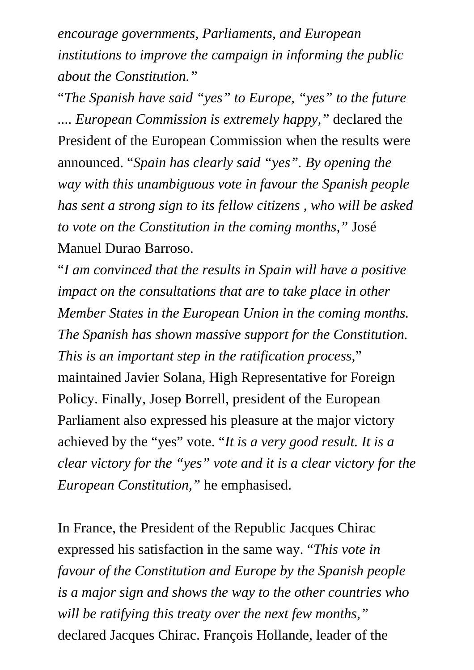*encourage governments, Parliaments, and European institutions to improve the campaign in informing the public about the Constitution."*

"*The Spanish have said "yes" to Europe, "yes" to the future .... European Commission is extremely happy,"* declared the President of the European Commission when the results were announced. "*Spain has clearly said "yes". By opening the way with this unambiguous vote in favour the Spanish people has sent a strong sign to its fellow citizens , who will be asked to vote on the Constitution in the coming months,"* José Manuel Durao Barroso.

"*I am convinced that the results in Spain will have a positive impact on the consultations that are to take place in other Member States in the European Union in the coming months. The Spanish has shown massive support for the Constitution. This is an important step in the ratification process*," maintained Javier Solana, High Representative for Foreign Policy. Finally, Josep Borrell, president of the European Parliament also expressed his pleasure at the major victory achieved by the "yes" vote. "*It is a very good result. It is a clear victory for the "yes" vote and it is a clear victory for the European Constitution,"* he emphasised.

In France, the President of the Republic Jacques Chirac expressed his satisfaction in the same way. "*This vote in favour of the Constitution and Europe by the Spanish people is a major sign and shows the way to the other countries who will be ratifying this treaty over the next few months,"*  declared Jacques Chirac. François Hollande, leader of the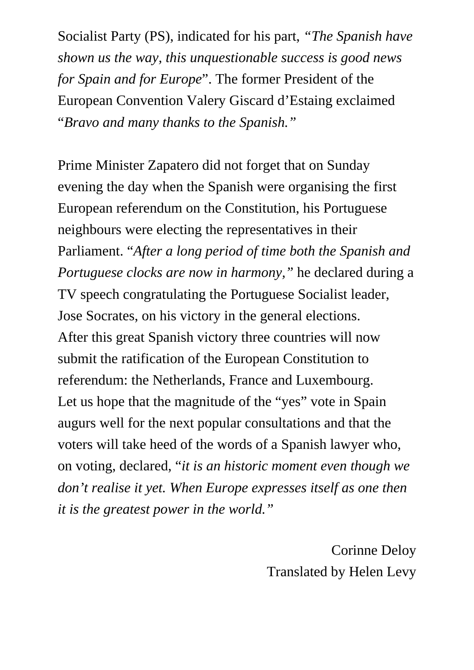Socialist Party (PS), indicated for his part, *"The Spanish have shown us the way, this unquestionable success is good news for Spain and for Europe*". The former President of the European Convention Valery Giscard d'Estaing exclaimed "*Bravo and many thanks to the Spanish."*

Prime Minister Zapatero did not forget that on Sunday evening the day when the Spanish were organising the first European referendum on the Constitution, his Portuguese neighbours were electing the representatives in their Parliament. "*After a long period of time both the Spanish and Portuguese clocks are now in harmony,"* he declared during a TV speech congratulating the Portuguese Socialist leader, Jose Socrates, on his victory in the general elections. After this great Spanish victory three countries will now submit the ratification of the European Constitution to referendum: the Netherlands, France and Luxembourg. Let us hope that the magnitude of the "yes" vote in Spain augurs well for the next popular consultations and that the voters will take heed of the words of a Spanish lawyer who, on voting, declared, "*it is an historic moment even though we don't realise it yet. When Europe expresses itself as one then it is the greatest power in the world."* 

> Corinne Deloy Translated by Helen Levy